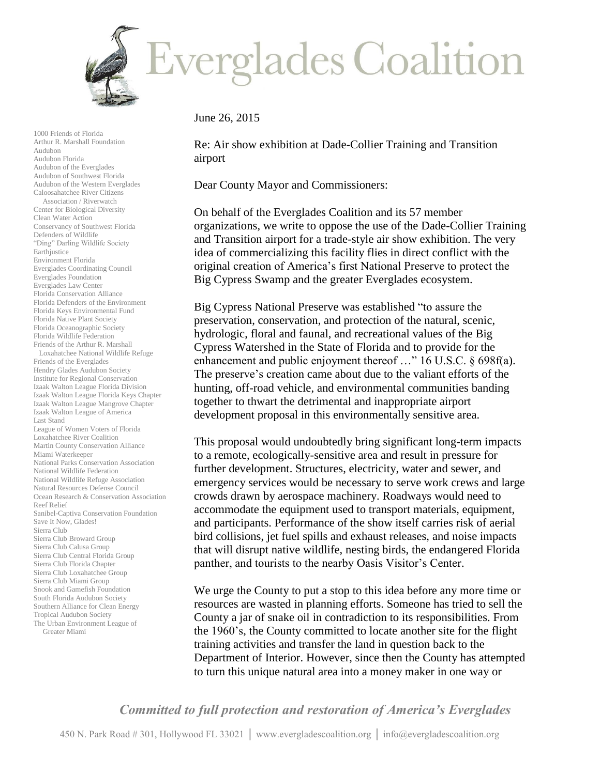

1000 Friends of Florida Arthur R. Marshall Foundation Audubon Audubon Florida Audubon of the Everglades Audubon of Southwest Florida Audubon of the Western Everglades Caloosahatchee River Citizens Association / Riverwatch Center for Biological Diversity Clean Water Action Conservancy of Southwest Florida Defenders of Wildlife "Ding" Darling Wildlife Society Earthjustice Environment Florida Everglades Coordinating Council Everglades Foundation Everglades Law Center Florida Conservation Alliance Florida Defenders of the Environment Florida Keys Environmental Fund Florida Native Plant Society Florida Oceanographic Society Florida Wildlife Federation Friends of the Arthur R. Marshall Loxahatchee National Wildlife Refuge Friends of the Everglades Hendry Glades Audubon Society Institute for Regional Conservation Izaak Walton League Florida Division Izaak Walton League Florida Keys Chapter Izaak Walton League Mangrove Chapter Izaak Walton League of America Last Stand League of Women Voters of Florida Loxahatchee River Coalition Martin County Conservation Alliance Miami Waterkeeper National Parks Conservation Association National Wildlife Federation National Wildlife Refuge Association Natural Resources Defense Council Ocean Research & Conservation Association Reef Relief Sanibel-Captiva Conservation Foundation Save It Now, Glades! Sierra Club Sierra Club Broward Group Sierra Club Calusa Group Sierra Club Central Florida Group Sierra Club Florida Chapter Sierra Club Loxahatchee Group Sierra Club Miami Group Snook and Gamefish Foundation South Florida Audubon Society Southern Alliance for Clean Energy Tropical Audubon Society The Urban Environment League of Greater Miami

June 26, 2015

Re: Air show exhibition at Dade-Collier Training and Transition airport

Dear County Mayor and Commissioners:

On behalf of the Everglades Coalition and its 57 member organizations, we write to oppose the use of the Dade-Collier Training and Transition airport for a trade-style air show exhibition. The very idea of commercializing this facility flies in direct conflict with the original creation of America's first National Preserve to protect the Big Cypress Swamp and the greater Everglades ecosystem.

Big Cypress National Preserve was established "to assure the preservation, conservation, and protection of the natural, scenic, hydrologic, floral and faunal, and recreational values of the Big Cypress Watershed in the State of Florida and to provide for the enhancement and public enjoyment thereof ..." 16 U.S.C. § 698f(a). The preserve's creation came about due to the valiant efforts of the hunting, off-road vehicle, and environmental communities banding together to thwart the detrimental and inappropriate airport development proposal in this environmentally sensitive area.

This proposal would undoubtedly bring significant long-term impacts to a remote, ecologically-sensitive area and result in pressure for further development. Structures, electricity, water and sewer, and emergency services would be necessary to serve work crews and large crowds drawn by aerospace machinery. Roadways would need to accommodate the equipment used to transport materials, equipment, and participants. Performance of the show itself carries risk of aerial bird collisions, jet fuel spills and exhaust releases, and noise impacts that will disrupt native wildlife, nesting birds, the endangered Florida panther, and tourists to the nearby Oasis Visitor's Center.

We urge the County to put a stop to this idea before any more time or resources are wasted in planning efforts. Someone has tried to sell the County a jar of snake oil in contradiction to its responsibilities. From the 1960's, the County committed to locate another site for the flight training activities and transfer the land in question back to the Department of Interior. However, since then the County has attempted to turn this unique natural area into a money maker in one way or

*Committed to full protection and restoration of America's Everglades*